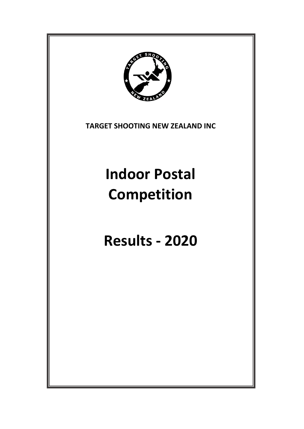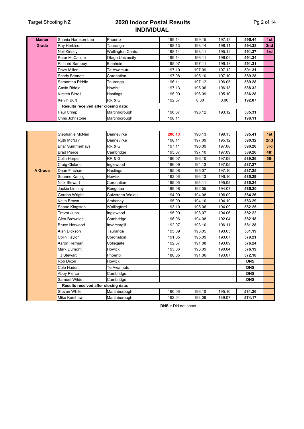### Target Shooting NZ **2020 Indoor Postal Results INDIVIDUAL**

| Pg 2 of 14 |  |  |
|------------|--|--|
|------------|--|--|

| <b>Master</b>  | Shania Harrison-Lee                  | Phoenix                   | 199.14 | 199.15 | 197.15 | 595.44     | 1st |
|----------------|--------------------------------------|---------------------------|--------|--------|--------|------------|-----|
| Grade          | Roy Herbison                         | Tauranga                  | 198.13 | 198.14 | 198.11 | 594.38     | 2nd |
|                | Neil Kinsey                          | <b>Wellington Central</b> | 198.14 | 198.11 | 195.12 | 591.37     | 3rd |
|                | Peter McCallum                       | Otago University          | 199.14 | 196.11 | 196.09 | 591.34     |     |
|                | <b>Richard Sampey</b>                | Blenheim                  | 195.07 | 197.11 | 199.13 | 591.31     |     |
|                | Dave Miller                          | Te Awamutu                | 197.10 | 197.09 | 197.12 | 591.31     |     |
|                | Sandy Bennett                        | Coronation                | 197.08 | 195.10 | 197.10 | 589.28     |     |
|                | Samantha Riddle                      | Tauranga                  | 196.11 | 197.12 | 196.05 | 589.28     |     |
|                | Gavin Riddle                         | Howick                    | 197.13 | 195.06 | 196.13 | 588.32     |     |
|                | Kirsten Birrell                      | Hastings                  | 195.09 | 196.09 | 195.10 | 586.28     |     |
|                | Kelvin Burt                          | <b>RR &amp; G</b>         | 192.07 | 0.00   | 0.00   | 192.07     |     |
|                | Results received after closing date: |                           |        |        |        |            |     |
|                | Paul Crimp                           | Martinborough             | 196.07 | 196.12 | 193.12 | 585.31     |     |
|                | Chris Johnstone                      | Martinborough             | 198.11 |        |        | 198.11     |     |
|                |                                      |                           |        |        |        |            |     |
|                | Stephanie McNair                     | Dannevirke                | 200.13 | 196.13 | 199.15 | 595.41     | 1st |
|                | <b>Ruth McNair</b>                   | Dannevirke                | 198.11 | 197.09 | 195.12 | 590.32     | 2nd |
|                | Briar Summerhays                     | <b>RR &amp; G</b>         | 197.11 | 196.09 | 197.08 | 590.28     | 3rd |
|                | <b>Brad Pierce</b>                   | Cambridge                 | 195.07 | 197.10 | 197.09 | 589.26     | 4th |
|                | <b>Colin Harper</b>                  | <b>RR &amp; G</b>         | 196.07 | 196.10 | 197.09 | 589.26     | 5th |
|                | Craig Cleland                        | Inglewood                 | 196.09 | 194.13 | 197.05 | 587.27     |     |
| <b>A</b> Grade | Dean Fincham                         | Hastings                  | 195.08 | 195.07 | 197.10 | 587.25     |     |
|                | Suanne Kanzig                        | Howick                    | 193.06 | 196.13 | 196.10 | 585.29     |     |
|                | Nick Stewart                         | Coronation                | 195.05 | 195.11 | 195.08 | 585.24     |     |
|                | Jackie Lindsay                       | Rongotea                  | 199.08 | 192.05 | 194.07 | 585.20     |     |
|                | Gordon Wright                        | Culverden-Waiau           | 194.09 | 194.08 | 196.09 | 584.26     |     |
|                | Keith Brown                          | Amberley                  | 195.09 | 194.10 | 194.10 | 583.29     |     |
|                | Shane Kingston                       | Wallingford               | 193.10 | 195.06 | 194.09 | 582.25     |     |
|                | Trevor Jupp                          | Inglewood                 | 195.09 | 193.07 | 194.06 | 582.22     |     |
|                | Glen Brownlee                        | Cambridge                 | 196.06 | 194.08 | 192.04 | 582.18     |     |
|                | <b>Bruce Horwood</b>                 | Invercargill              | 192.07 | 193.10 | 196.11 | 581.28     |     |
|                | Alan Dickson                         | Tauranga                  | 195.09 | 193.05 | 193.05 | 581.19     |     |
|                | Colin Taylor                         | Coronation                | 191.05 | 195.09 | 193.07 | 579.21     |     |
|                | Aaron Herman                         | Collegiate                | 192.07 | 191.08 | 193.09 | 576.24     |     |
|                | Mark Dumont                          | Howick                    | 193.06 | 193.09 | 190.04 | 576.19     |     |
|                | <b>TJ Stewart</b>                    | Phoenix                   | 188.05 | 191.06 | 193.07 | 572.18     |     |
|                | Rob Dixon                            | Howick                    |        |        |        | <b>DNS</b> |     |
|                | Cole Haden                           | Te Awamutu                |        |        |        | <b>DNS</b> |     |
|                | <b>Abby Pierce</b>                   | Cambridge                 |        |        |        | <b>DNS</b> |     |
|                | Samuel Wilde                         | Cambridge                 |        |        |        | <b>DNS</b> |     |
|                | Results received after closing date: |                           |        |        |        |            |     |
|                | Steven White                         | Martinborough             | 190.06 | 196.10 | 195.10 | 581.26     |     |
|                | Mike Kershaw                         | Martinborough             | 192.04 | 193.06 | 189.07 | 574.17     |     |

**DNS** = Did not shoot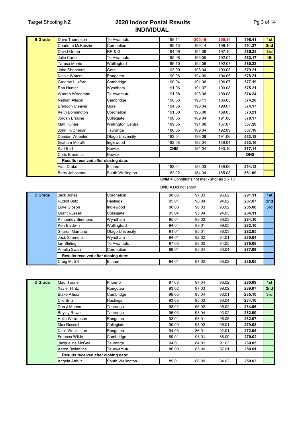#### Target Shooting NZ **2020 Indoor Postal Results INDIVIDUAL**

| <b>B</b> Grade | Dave Thompson                        | Te Awamutu                | 198.11     | 200.16 | 200.14 | 598.41     | 1st |
|----------------|--------------------------------------|---------------------------|------------|--------|--------|------------|-----|
|                | <b>Charlotte McKenzie</b>            | Coronation                | 196.13     | 199.14 | 196.10 | 591.37     | 2nd |
|                | David Green                          | <b>RR &amp; G</b>         | 194.09     | 194.09 | 197.10 | 585.28     | 3rd |
|                | Jolie Carter                         | Te Awamutu                | 195.08     | 196.05 | 192.04 | 583.17     | 4th |
|                | Taresa Morris                        | Wallingford               | 196.10     | 192.06 | 192.07 | 580.23     |     |
|                | John Shepherd                        | Gore                      | 193.09     | 193.04 | 193.08 | 579.21     |     |
|                | Nicole Waters                        | Rongotea                  | 190.06     | 194.09 | 194.06 | 578.21     |     |
|                | Graeme Luxford                       | Cambridge                 | 190.04     | 191.08 | 196.07 | 577.19     |     |
|                | Ron Hunter                           | Wyndham                   | 191.06     | 191.07 | 193.08 | 575.21     |     |
|                | Warren Woodman                       | Te Awamutu                | 191.08     | 193.08 | 190.08 | 574.24     |     |
|                | Nathan Allison                       | Cambridge                 | 190.06     | 198.11 | 186.03 | 574.20     |     |
|                | <b>Brendon Cleaver</b>               | Gore                      | 194.06     | 190.04 | 190.07 | 574.17     |     |
|                | Keith Bonnington                     | Coronation                | 191.08     | 193.08 | 189.05 | 573.21     |     |
|                | Jordan Erskine                       | Collegiate                | 190.05     | 189.04 | 191.08 | 570.17     |     |
|                | <b>Matt Hunter</b>                   | <b>Wellington Central</b> | 189.05     | 191.08 | 187.07 | 567.20     |     |
|                | John Hutcheson                       | Tauranga                  | 186.05     | 189.04 | 192.09 | 567.18     |     |
|                | Damian Wheeler                       | Otago University          | 183.04     | 189.08 | 191.06 | 563.18     |     |
|                | Graham Moratti                       | Inglewood                 | 192.08     | 182.04 | 189.04 | 563.16     |     |
|                | Karl Burt                            | Howick                    | <b>CNM</b> | 184.04 | 193.10 | 377.14     |     |
|                | Chris Erasmus                        | <b>Howick</b>             |            |        |        | <b>DNS</b> |     |
|                | Results received after closing date: |                           |            |        |        |            |     |
|                | Alan Drake                           | Eltham                    | 182.04     | 183.03 | 189.06 | 554.13     |     |
|                | <b>Barry Johnstone</b>               | South Wellington          | 182.02     | 184.04 | 185.03 | 551.09     |     |
|                |                                      |                           |            |        |        |            |     |

**CNM** = Conditions not met - shot as 2 x 10

**DNS** = Did not shoot

| C Grade                              | Jack Jones               | Coronation       | 98.06 | 97.03 | 96.02 | 291.11 | 1st |
|--------------------------------------|--------------------------|------------------|-------|-------|-------|--------|-----|
|                                      | <b>Rudolf Britz</b>      | Hastings         | 95.01 | 98.04 | 94.02 | 287.07 | 2nd |
| Luke Gibson                          |                          | Inglewood        | 96.03 | 96.03 | 93.02 | 285.08 | 3rd |
|                                      | <b>Grant Russell</b>     | Collegiate       | 95.04 | 95.04 | 94.03 | 284.11 |     |
|                                      | <b>Kimberley Simmons</b> | Wyndham          | 95.04 | 93.03 | 96.03 | 284.10 |     |
| Ken Baldwin                          |                          | Wallingford      | 94.04 | 89.01 | 99.05 | 282.10 |     |
|                                      | Sharon Mamanu            | Otago University | 91.01 | 95.01 | 96.03 | 282.05 |     |
|                                      | Jack Simmons             | Wyndham          | 94.01 | 92.02 | 94.01 | 280.04 |     |
|                                      | lan Stirling             | Te Awamutu       | 97.03 | 88.00 | 94.05 | 279.08 |     |
|                                      | Amelia Swan              | Coronation       | 89.01 | 95.04 | 93.04 | 277.09 |     |
| Results received after closing date: |                          |                  |       |       |       |        |     |
|                                      | Craig McGill             | Eltham           | 94.01 | 97.02 | 95.02 | 286.05 |     |

| D Grade | Madi Tourle                          | Phoenix          | 97.03 | 97.04 | 96.02 | 290.09 | 1st |
|---------|--------------------------------------|------------------|-------|-------|-------|--------|-----|
|         | <b>Xavier Hintz</b>                  | Rongotea         | 93.02 | 97.03 | 99.02 | 289.07 | 2nd |
|         | <b>Blake Allison</b>                 | Cambridge        | 99.05 | 93.04 | 93.01 | 285.10 | 3rd |
|         | <b>Clio Britz</b>                    | Hastings         | 93.03 | 95.03 | 96.04 | 284.10 |     |
|         | Darryl Munns                         | Tauranga         | 93.02 | 96.02 | 95.02 | 284.06 |     |
|         | <b>Bayley Rowe</b>                   | Tauranga         | 96.03 | 93.04 | 93.02 | 282.09 |     |
|         | Halle Williamson                     | Rongotea         | 93.01 | 93.01 | 96.05 | 282.07 |     |
|         | <b>Max Russell</b>                   | Collegiate       | 90.00 | 93.02 | 96.01 | 279.03 |     |
|         | Nicki Woollaston                     | Rongotea         | 94.03 | 86.01 | 92.01 | 272.05 |     |
|         | <b>Frances Wilde</b>                 | Cambridge        | 89.01 | 93.01 | 88.00 | 270.02 |     |
|         | Jacqueline McGee                     | Tauranga         | 94.01 | 84.01 | 91.03 | 269.05 |     |
|         | Aaron Ballantine                     | Te Awamutu       | 86.00 | 85.00 | 87.01 | 258.01 |     |
|         | Results received after closing date: |                  |       |       |       |        |     |
|         | Angela Arthur                        | South Wellington | 89.01 | 86.00 | 84.02 | 259.03 |     |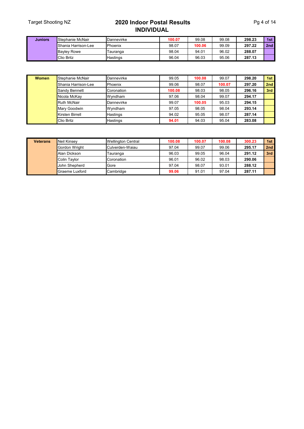#### Target Shooting NZ **2020 Indoor Postal Results INDIVIDUAL**

| <b>Juniors</b> | Stephanie McNair    | Dannevirke | 100.07 | 99.08  | 99.08 | 298.23 | 1st             |
|----------------|---------------------|------------|--------|--------|-------|--------|-----------------|
|                | Shania Harrison-Lee | Phoenix    | 98.07  | 100.06 | 99.09 | 297.22 | 2 <sub>nd</sub> |
|                | <b>Bavlev Rowe</b>  | I auranga  | 98.04  | 94.01  | 96.02 | 288.07 |                 |
|                | <b>Clio Britz</b>   | Hastings   | 96.04  | 96.03  | 95.06 | 287.13 |                 |

| <b>Women</b>           | Stephanie McNair     | Dannevirke | 99.05  | 100.08 | 99.07  | 298.20 | 1st |
|------------------------|----------------------|------------|--------|--------|--------|--------|-----|
|                        | Shania Harrison-Lee  | Phoenix    | 99.06  | 98.07  | 100.07 | 297.20 | 2nd |
|                        | <b>Sandy Bennett</b> | Coronation | 100.08 | 98.03  | 98.05  | 296.16 | 3rd |
|                        | Nicola McKay         | Wyndham    | 97.06  | 98.04  | 99.07  | 294.17 |     |
|                        | <b>Ruth McNair</b>   | Dannevirke | 99.07  | 100.05 | 95.03  | 294.15 |     |
|                        | Mary Goodwin         | Wyndham    | 97.05  | 98.05  | 98.04  | 293.14 |     |
| <b>Kirsten Birrell</b> |                      | Hastings   | 94.02  | 95.05  | 98.07  | 287.14 |     |
|                        | <b>Clio Britz</b>    | Hastings   | 94.01  | 94.03  | 95.04  | 283.08 |     |

| <b>Veterans</b> | Neil Kinsev    | <b>Wellington Central</b> | 100.08 | 100.07 | 100.08 | 300.23 | 1st |
|-----------------|----------------|---------------------------|--------|--------|--------|--------|-----|
|                 | Gordon Wright  | Culverden-Waiau           | 97.04  | 99.07  | 99.06  | 295.17 | 2nd |
|                 | Alan Dickson   | Tauranga                  | 96.03  | 99.05  | 96.04  | 291.12 | 3rd |
|                 | Colin Tavlor   | Coronation                | 96.01  | 96.02  | 98.03  | 290.06 |     |
|                 | John Shepherd  | Gore                      | 97.04  | 98.07  | 93.01  | 288.12 |     |
|                 | Graeme Luxford | Cambridge                 | 99.06  | 91.01  | 97.04  | 287.11 |     |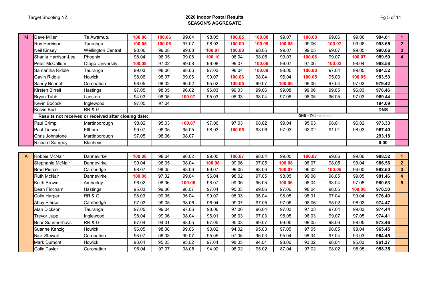#### Target Shooting NZ **2020 Indoor Postal Results SEASON'S AGGREGATE**

| M | Dave Miller             | Te Awamutu                                           | 100.06 | 100.06 | 99.04  | 98.05  | 100.05 | 100.08 | 99.07  | 100.08                | 99.06  | 99.06  | 994.61     | $\blacktriangleleft$    |
|---|-------------------------|------------------------------------------------------|--------|--------|--------|--------|--------|--------|--------|-----------------------|--------|--------|------------|-------------------------|
|   | Roy Herbison            | Tauranga                                             | 100.05 | 100.06 | 97.07  | 98.03  | 100.09 | 100.09 | 100.05 | 99.06                 | 100.07 | 99.08  | 993.65     | $\overline{2}$          |
|   | Neil Kinsey             | <b>Wellington Central</b>                            | 98.06  | 99.08  | 99.08  | 100.07 | 100.08 | 98.05  | 99.07  | 99.05                 | 99.07  | 99.05  | 990.66     | $3\phantom{a}$          |
|   | Shania Harrison-Lee     | Phoenix                                              | 98.04  | 98.05  | 99.08  | 100.10 | 98.04  | 98.05  | 99.03  | 100.06                | 99.07  | 100.07 | 989.59     | $\overline{\mathbf{4}}$ |
|   | Peter McCallum          | <b>Otago University</b>                              | 100.08 | 97.02  | 99.08  | 99.08  | 99.07  | 100.06 | 99.07  | 97.06                 | 100.02 | 98.04  | 988.58     |                         |
|   | Samantha Riddle         | Tauranga                                             | 99.03  | 98.06  | 98.06  | 97.03  | 98.04  | 100.08 | 98.05  | 100.08                | 97.04  | 99.05  | 984.52     |                         |
|   | Gavin Riddle            | Howick                                               | 98.06  | 98.07  | 99.06  | 99.07  | 100.06 | 98.04  | 96.04  | 100.05                | 95.03  | 100.05 | 983.53     |                         |
|   | Sandy Bennett           | Coronation                                           | 98.05  | 98.02  | 96.02  | 95.02  | 100.05 | 99.07  | 100.06 | 99.06                 | 97.04  | 97.03  | 979.42     |                         |
|   | Kirsten Birrell         | <b>Hastings</b>                                      | 97.05  | 98.05  | 96.02  | 96.03  | 99.03  | 99.06  | 99.08  | 99.06                 | 99.05  | 96.03  | 978.46     |                         |
|   | <b>Bryan Tubb</b>       | Leeston                                              | 94.03  | 98.05  | 100.07 | 95.03  | 96.03  | 98.04  | 97.06  | 98.05                 | 96.05  | 97.03  | 969.44     |                         |
|   | Kevin Bocock            | Inglewood                                            | 97.05  | 97.04  |        |        |        |        |        |                       |        |        | 194.09     |                         |
|   | Kelvin Burt             | RR&G                                                 |        |        |        |        |        |        |        |                       |        |        | <b>DNS</b> |                         |
|   |                         | Results not received or received after closing date: |        |        |        |        |        |        |        | $DNS = Did not shoot$ |        |        |            |                         |
|   | Paul Crimp              | Martinborough                                        | 98.02  | 95.03  | 100.07 | 97.06  | 97.03  | 98.02  | 99.04  | 95.03                 | 98.01  | 96.02  | 973.33     |                         |
|   | Paul Tidswell           | Eltham                                               | 99.07  | 98.05  | 95.05  | 98.03  | 100.05 | 98.06  | 97.03  | 93.02                 | 91.01  | 98.03  | 967.40     |                         |
|   | Chris Johnstone         | Martinborough                                        | 97.05  | 98.06  | 98.07  |        |        |        |        |                       |        |        | 293.18     |                         |
|   | <b>Richard Sampey</b>   | Blenheim                                             |        |        |        |        |        |        |        |                       |        |        | 0.00       |                         |
|   |                         |                                                      |        |        |        |        |        |        |        |                       |        |        |            |                         |
| A | Robbie McNair           | Dannevirke                                           | 100.06 | 98.04  | 96.02  | 99.05  | 100.07 | 98.04  | 99.05  | 100.07                | 99.06  | 99.06  | 988.52     | $\blacktriangleleft$    |
|   | Stephanie McNair        | Dannevirke                                           | 99.04  | 98.05  | 98.04  | 100.08 | 99.06  | 97.05  | 100.08 | 98.07                 | 98.05  | 99.04  | 986.56     | $\mathbf{2}$            |
|   | <b>Brad Pierce</b>      | Cambridge                                            | 98.07  | 98.05  | 98.06  | 99.07  | 99.05  | 98.06  | 100.07 | 96.02                 | 100.05 | 96.00  | 982.50     | $\mathbf{3}$            |
|   | <b>Ruth McNair</b>      | Dannevirke                                           | 100.06 | 97.02  | 99.04  | 96.04  | 98.02  | 97.05  | 98.05  | 99.08                 | 98.05  | 99.05  | 981.46     | 4                       |
|   | Keith Brown             | Amberley                                             | 96.02  | 98.06  | 100.05 | 98.07  | 99.06  | 96.05  | 100.06 | 98.04                 | 98.04  | 97.08  | 980.53     | $5\phantom{.0}$         |
|   | Dean Fincham            | Hastings                                             | 95.03  | 99.06  | 98.07  | 97.04  | 95.03  | 99.06  | 97.06  | 98.04                 | 98.05  | 100.06 | 976.50     |                         |
|   | Colin Harper            | RR&G                                                 | 98.03  | 99.05  | 95.04  | 99.07  | 98.03  | 95.04  | 98.05  | 98.01                 | 97.04  | 99.04  | 976.40     |                         |
|   | Abby Pierce             | Cambridge                                            | 97.03  | 99.05  | 98.06  | 96.04  | 99.07  | 97.05  | 97.06  | 98.06                 | 95.02  | 98.03  | 974.47     |                         |
|   | Alan Dickson            | Tauranga                                             | 97.05  | 99.04  | 97.06  | 98.06  | 97.06  | 96.04  | 97.03  | 97.03                 | 97.04  | 99.03  | 974.44     |                         |
|   | Trevor Jupp             | Inglewood                                            | 98.04  | 99.06  | 98.04  | 96.01  | 96.03  | 97.03  | 98.05  | 96.03                 | 99.07  | 97.05  | 974.41     |                         |
|   | <b>Briar Summerhays</b> | RR&G                                                 | 97.04  | 94.01  | 98.05  | 97.05  | 95.03  | 99.07  | 99.05  | 98.05                 | 98.06  | 98.05  | 973.46     |                         |
|   | Suanne Kanzig           | Howick                                               | 96.05  | 98.08  | 99.06  | 93.02  | 94.02  | 95.03  | 97.05  | 97.05                 | 98.05  | 98.04  | 965.45     |                         |
|   | <b>Nick Stewart</b>     | Coronation                                           | 98.07  | 96.03  | 99.07  | 95.05  | 97.05  | 96.03  | 95.04  | 98.04                 | 97.04  | 93.03  | 964.45     |                         |
|   | Mark Dumont             | Howick                                               | 98.04  | 95.03  | 95.02  | 97.04  | 98.05  | 94.04  | 98.06  | 93.02                 | 98.04  | 95.03  | 961.37     |                         |
|   | Colin Taylor            | Coronation                                           | 96.04  | 97.07  | 98.05  | 94.02  | 98.02  | 95.02  | 87.04  | 97.02                 | 98.02  | 98.05  | 958.35     |                         |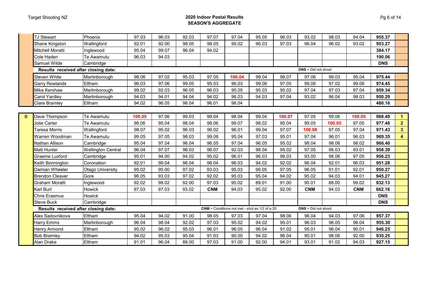#### Target Shooting NZ **2020 Indoor Postal Results SEASON'S AGGREGATE**

|   | <b>TJ Stewart</b>                    | Phoenix                   | 97.03  | 96.03 | 92.03 | 97.07      | 97.04                                            | 95.05 | 96.03  | 93.02                 | 98.03  | 94.04      | 955.37     |                |
|---|--------------------------------------|---------------------------|--------|-------|-------|------------|--------------------------------------------------|-------|--------|-----------------------|--------|------------|------------|----------------|
|   | Shane Kingston                       | Wallingford               | 92.01  | 92.00 | 98.05 | 98.05      | 95.02                                            | 96.03 | 97.03  | 96.04                 | 96.02  | 93.02      | 953.27     |                |
|   | Mitchell Moratti                     | Inglewood                 | 95.04  | 99.07 | 96.04 | 94.02      |                                                  |       |        |                       |        |            | 384.17     |                |
|   | Cole Haden                           | Te Awamutu                | 96.03  | 94.03 |       |            |                                                  |       |        |                       |        |            | 190.06     |                |
|   | Samuel Wilde                         | Cambridge                 |        |       |       |            |                                                  |       |        |                       |        |            | <b>DNS</b> |                |
|   | Results received after closing date: |                           |        |       |       |            |                                                  |       |        | $DNS = Did not shoot$ |        |            |            |                |
|   | Steven White                         | Martinborough             | 98.06  | 97.02 | 95.03 | 97.05      | 100.04                                           | 99.04 | 98.07  | 97.06                 | 99.03  | 95.04      | 975.44     |                |
|   | Garry Rowlands                       | Eltham                    | 96.03  | 97.06 | 99.05 | 95.03      | 96.03                                            | 99.06 | 97.05  | 99.06                 | 97.02  | 99.06      | 974.45     |                |
|   | Mike Kershaw                         | Martinborough             | 99.02  | 92.03 | 96.05 | 96.03      | 95.05                                            | 95.03 | 95.02  | 97.04                 | 97.03  | 97.04      | 959.34     |                |
|   | Carol Yardley                        | Martinborough             | 94.03  | 94.01 | 94.04 | 94.02      | 96.03                                            | 94.03 | 97.04  | 93.02                 | 96.04  | 98.03      | 950.29     |                |
|   | Clare Bramley                        | Eltham                    | 94.02  | 96.05 | 96.04 | 96.01      | 98.04                                            |       |        |                       |        |            | 480.16     |                |
|   |                                      |                           |        |       |       |            |                                                  |       |        |                       |        |            |            |                |
| B | Dave Thompson                        | Te Awamutu                | 100.05 | 97.06 | 99.03 | 99.04      | 98.04                                            | 99.04 | 100.07 | 97.05                 | 99.06  | 100.05     | 988.49     | 1.             |
|   | Jolie Carter                         | Te Awamutu                | 98.06  | 95.04 | 98.04 | 98.06      | 99.07                                            | 98.02 | 95.04  | 99.05                 | 100.05 | 97.05      | 977.48     | $\overline{2}$ |
|   | Taresa Morris                        | Wallingford               | 98.07  | 95.02 | 96.03 | 96.02      | 96.01                                            | 99.04 | 97.07  | 100.08                | 97.05  | 97.04      | 971.43     | 3 <sup>2</sup> |
|   | Warren Woodman                       | Te Awamutu                | 99.05  | 97.05 | 98.03 | 99.06      | 95.04                                            | 97.03 | 95.01  | 97.04                 | 96.01  | 96.03      | 969.35     | $\overline{4}$ |
|   | Nathan Allison                       | Cambridge                 | 95.04  | 97.04 | 96.04 | 96.05      | 97.04                                            | 96.05 | 95.02  | 98.04                 | 98.06  | 98.02      | 966.40     |                |
|   | Matt Hunter                          | <b>Wellington Central</b> | 96.04  | 97.07 | 96.03 | 98.07      | 92.03                                            | 98.04 | 95.02  | 97.05                 | 96.03  | 93.01      | 958.39     |                |
|   | Graeme Luxford                       | Cambridge                 | 95.01  | 94.00 | 94.02 | 95.02      | 96.01                                            | 96.03 | 98.03  | 93.00                 | 98.06  | 97.05      | 956.23     |                |
|   | Keith Bonnington                     | Coronation                | 92.01  | 99.04 | 96.04 | 98.04      | 96.03                                            | 94.02 | 92.02  | 96.04                 | 92.01  | 96.03      | 951.28     |                |
|   | Damian Wheeler                       | Otago University          | 95.02  | 95.00 | 97.02 | 93.03      | 95.03                                            | 99.05 | 97.05  | 96.05                 | 91.01  | 92.01      | 950.27     |                |
|   | <b>Brendon Cleaver</b>               | Gore                      | 96.05  | 93.03 | 97.02 | 92.02      | 95.03                                            | 95.04 | 94.02  | 95.02                 | 94.03  | 94.01      | 945.27     |                |
|   | Graham Moratti                       | Inglewood                 | 92.02  | 99.02 | 92.00 | 97.03      | 95.02                                            | 89.01 | 91.00  | 90.01                 | 88.00  | 99.02      | 932.13     |                |
|   | Karl Burt                            | Howick                    | 97.03  | 97.03 | 93.02 | <b>CNM</b> | 94.03                                            | 95.02 | 92.00  | <b>CNM</b>            | 94.03  | <b>CNM</b> | 662.16     |                |
|   | Chris Erasmus                        | Howick                    |        |       |       |            |                                                  |       |        |                       |        |            | <b>DNS</b> |                |
|   | Steve Buck                           | Cambridge                 |        |       |       |            |                                                  |       |        |                       |        |            | <b>DNS</b> |                |
|   | Results received after closing date: |                           |        |       |       |            | $CNM =$ Conditions not met - shot as 1/2 of a 20 |       |        | $DNS = Did not shoot$ |        |            |            |                |
|   | Alex Sadovnikova                     | Eltham                    | 95.04  | 94.02 | 91.00 | 98.05      | 97.03                                            | 97.04 | 98.06  | 96.04                 | 94.03  | 97.06      | 957.37     |                |
|   | Harry Emms                           | Martinborough             | 96.04  | 98.04 | 92.02 | 97.03      | 95.02                                            | 94.02 | 95.01  | 96.03                 | 96.05  | 96.04      | 955.30     |                |
|   | Henry Armond                         | Eltham                    | 95.02  | 96.02 | 95.03 | 96.01      | 96.05                                            | 96.04 | 91.02  | 95.01                 | 96.04  | 90.01      | 946.25     |                |
|   | <b>Bob Bramley</b>                   | Eltham                    | 94.02  | 95.03 | 95.04 | 91.03      | 90.00                                            | 94.02 | 96.04  | 90.01                 | 98.06  | 92.00      | 935.25     |                |
|   | Alan Drake                           | Eltham                    | 91.01  | 96.04 | 88.00 | 97.03      | 91.00                                            | 92.00 | 94.01  | 93.01                 | 91.02  | 94.03      | 927.15     |                |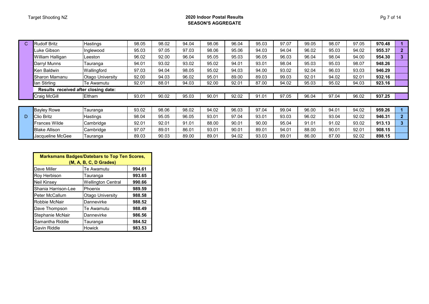#### Target Shooting NZ **2020 Indoor Postal Results SEASON'S AGGREGATE**

| C. | <b>Rudolf Britz</b>                  | Hastings         | 98.05 | 98.02 | 94.04 | 98.06 | 96.04 | 95.03 | 97.07 | 99.05 | 98.07 | 97.05 | 970.48 |              |
|----|--------------------------------------|------------------|-------|-------|-------|-------|-------|-------|-------|-------|-------|-------|--------|--------------|
|    | Luke Gibson                          | Inglewood        | 95.03 | 97.05 | 97.03 | 98.06 | 95.06 | 94.03 | 94.04 | 96.02 | 95.03 | 94.02 | 955.37 | $\mathbf{2}$ |
|    | William Halligan                     | Leeston          | 96.02 | 92.00 | 96.04 | 95.05 | 95.03 | 96.05 | 96.03 | 96.04 | 98.04 | 94.00 | 954.30 | 3            |
|    | Darryl Munns                         | Tauranga         | 94.01 | 93.02 | 93.02 | 95.02 | 94.01 | 93.01 | 98.04 | 95.03 | 95.03 | 98.07 | 948.26 |              |
|    | Ken Baldwin                          | Wallingford      | 97.03 | 94.04 | 98.05 | 95.02 | 94.03 | 94.00 | 93.02 | 92.04 | 96.03 | 93.03 | 946.29 |              |
|    | Sharon Mamanu                        | Otago University | 92.00 | 94.03 | 96.02 | 95.01 | 89.00 | 89.03 | 99.03 | 92.01 | 94.02 | 92.01 | 932.16 |              |
|    | lan Stirling                         | Te Awamutu       | 92.01 | 88.01 | 94.03 | 92.00 | 92.01 | 87.00 | 94.02 | 95.03 | 95.02 | 94.03 | 923.16 |              |
|    | Results received after closing date: |                  |       |       |       |       |       |       |       |       |       |       |        |              |
|    | Craig McGill                         | Eltham           | 93.01 | 90.02 | 95.03 | 90.01 | 92.02 | 91.01 | 97.05 | 96.04 | 97.04 | 96.02 | 937.25 |              |
|    |                                      |                  |       |       |       |       |       |       |       |       |       |       |        |              |
|    | <b>Bayley Rowe</b>                   | Tauranga         | 93.02 | 98.06 | 98.02 | 94.02 | 96.03 | 97.04 | 99.04 | 96.00 | 94.01 | 94.02 | 959.26 |              |
| D  | Clio Britz                           | Hastings         | 98.04 | 95.05 | 96.05 | 93.01 | 97.04 | 93.01 | 93.03 | 96.02 | 93.04 | 92.02 | 946.31 | $\mathbf{2}$ |
|    | <b>Frances Wilde</b>                 | Cambridge        | 92.01 | 92.01 | 91.01 | 88.00 | 90.01 | 90.00 | 95.04 | 91.01 | 91.02 | 93.02 | 913.13 | 3            |

Blake Allison Cambridge 97.07 89.01 86.01 93.01 90.01 89.01 94.01 88.00 90.01 92.01 **908.15** Jacqueline McGee Tauranga 89.03 90.03 89.00 89.01 94.02 93.03 89.01 86.00 87.00 92.02 **898.15**

| <b>Marksmans Badges/Datebars to Top Ten Scores,</b><br>(M, A, B, C, D Grades) |                           |        |  |  |  |  |  |
|-------------------------------------------------------------------------------|---------------------------|--------|--|--|--|--|--|
| Dave Miller                                                                   | Te Awamutu                | 994.61 |  |  |  |  |  |
| Roy Herbison                                                                  | Tauranga                  | 993.65 |  |  |  |  |  |
| <b>Neil Kinsey</b>                                                            | <b>Wellington Central</b> | 990.66 |  |  |  |  |  |
| Shania Harrison-Lee                                                           | Phoenix                   | 989.59 |  |  |  |  |  |
| <b>Peter McCallum</b>                                                         | <b>Otago University</b>   | 988.58 |  |  |  |  |  |
| Robbie McNair                                                                 | Dannevirke                | 988.52 |  |  |  |  |  |
| Dave Thompson                                                                 | Te Awamutu                | 988.49 |  |  |  |  |  |
| Stephanie McNair                                                              | Dannevirke                | 986.56 |  |  |  |  |  |
| Samantha Riddle                                                               | Tauranga                  | 984.52 |  |  |  |  |  |
| Gavin Riddle                                                                  | <b>Howick</b>             | 983.53 |  |  |  |  |  |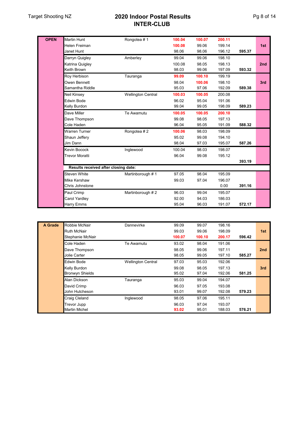### Target Shooting NZ **2020 Indoor Postal Results INTER-CLUB**

| <b>OPEN</b> | <b>Martin Hunt</b>                   | Rongotea #1               | 100.04 | 100.07 | 200.11 |        |                 |
|-------------|--------------------------------------|---------------------------|--------|--------|--------|--------|-----------------|
|             | <b>Helen Freiman</b>                 |                           | 100.08 | 99.06  | 199.14 |        | 1st             |
|             | Janet Hunt                           |                           | 98.06  | 98.06  | 196.12 | 595.37 |                 |
|             | Darryn Quigley                       | Amberley                  | 99.04  | 99.06  | 198.10 |        |                 |
|             | Katrina Quigley                      |                           | 100.08 | 98.05  | 198.13 |        | 2 <sub>nd</sub> |
|             | Keith Brown                          |                           | 98.03  | 99.06  | 197.09 | 593.32 |                 |
|             | Roy Herbison                         | Tauranga                  | 99.09  | 100.10 | 199.19 |        |                 |
|             | Owen Bennett                         |                           | 98.04  | 100.06 | 198.10 |        | 3rd             |
|             | Samantha Riddle                      |                           | 95.03  | 97.06  | 192.09 | 589.38 |                 |
|             | Neil Kinsey                          | <b>Wellington Central</b> | 100.03 | 100.05 | 200.08 |        |                 |
|             | <b>Edwin Bode</b>                    |                           | 96.02  | 95.04  | 191.06 |        |                 |
|             | Kelly Burdon                         |                           | 99.04  | 99.05  | 198.09 | 589.23 |                 |
|             | Dave Miller                          | Te Awamutu                | 100.05 | 100.05 | 200.10 |        |                 |
|             | Dave Thompson                        |                           | 99.08  | 98.05  | 197.13 |        |                 |
|             | Cole Haden                           |                           | 96.04  | 95.05  | 191.09 | 588.32 |                 |
|             | <b>Warren Turner</b>                 | Rongotea #2               | 100.06 | 98.03  | 198.09 |        |                 |
|             | Shaun Jeffery                        |                           | 95.02  | 99.08  | 194.10 |        |                 |
|             | Jim Dann                             |                           | 98.04  | 97.03  | 195.07 | 587.26 |                 |
|             | Kevin Bocock                         | Inglewood                 | 100.04 | 98.03  | 198.07 |        |                 |
|             | <b>Trevor Moratti</b>                |                           | 96.04  | 99.08  | 195.12 |        |                 |
|             |                                      |                           |        |        |        | 393.19 |                 |
|             | Results received after closing date: |                           |        |        |        |        |                 |
|             | <b>Steven White</b>                  | Martinborough #1          | 97.05  | 98.04  | 195.09 |        |                 |
|             | Mike Kershaw                         |                           | 99.03  | 97.04  | 196.07 |        |                 |
|             | Chris Johnstone                      |                           |        |        | 0.00   | 391.16 |                 |
|             | Paul Crimp                           | Martinborough #2          | 96.03  | 99.04  | 195.07 |        |                 |
|             | Carol Yardley                        |                           | 92.00  | 94.03  | 186.03 |        |                 |
|             | Harry Emms                           |                           | 95.04  | 96.03  | 191.07 | 572.17 |                 |

| <b>A</b> Grade | Robbie McNair          | Dannevirke                | 99.09  | 99.07  | 198.16 |        |                 |
|----------------|------------------------|---------------------------|--------|--------|--------|--------|-----------------|
|                | <b>Ruth McNair</b>     |                           | 99.03  | 99.06  | 198.09 |        | 1st             |
|                | Stephanie McNair       |                           | 100.07 | 100.10 | 200.17 | 596.42 |                 |
|                | Cole Haden             | Te Awamutu                | 93.02  | 98.04  | 191.06 |        |                 |
|                | Dave Thompson          |                           | 98.05  | 99.06  | 197.11 |        | 2 <sub>nd</sub> |
|                | Jolie Carter           |                           | 98.05  | 99.05  | 197.10 | 585.27 |                 |
|                | Edwin Bode             | <b>Wellington Central</b> | 97.03  | 95.03  | 192.06 |        |                 |
|                | Kelly Burdon           |                           | 99.08  | 98.05  | 197.13 |        | 3rd             |
|                | <b>Bronwyn Shields</b> |                           | 95.02  | 97.04  | 192.06 | 581.25 |                 |
|                | Alan Dickson           | Tauranga                  | 95.03  | 99.04  | 194.07 |        |                 |
|                | David Crimp            |                           | 96.03  | 97.05  | 193.08 |        |                 |
|                | John Hutcheson         |                           | 93.01  | 99.07  | 192.08 | 579.23 |                 |
|                | Craig Cleland          | Inglewood                 | 98.05  | 97.06  | 195.11 |        |                 |
|                | <b>Trevor Jupp</b>     |                           | 96.03  | 97.04  | 193.07 |        |                 |
|                | <b>Martin Michel</b>   |                           | 93.02  | 95.01  | 188.03 | 576.21 |                 |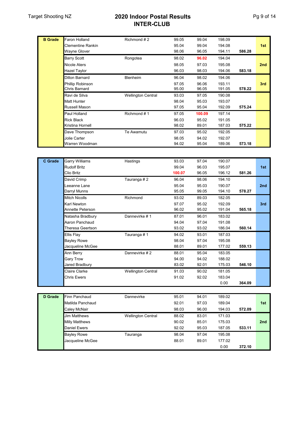### Target Shooting NZ **2020 Indoor Postal Results INTER-CLUB**

| <b>B</b> Grade | <b>Faron Holland</b>     | Richmond #2               | 99.05 | 99.04  | 198.09 |        |                 |
|----------------|--------------------------|---------------------------|-------|--------|--------|--------|-----------------|
|                | <b>Clementine Rankin</b> |                           | 95.04 | 99.04  | 194.08 |        | 1st             |
|                | <b>Wayne Glover</b>      |                           | 98.06 | 96.05  | 194.11 | 586.28 |                 |
|                | <b>Barry Scott</b>       | Rongotea                  | 98.02 | 96.02  | 194.04 |        |                 |
|                | Nicole Aters             |                           | 98.05 | 97.03  | 195.08 |        | 2 <sub>nd</sub> |
|                | <b>Hazel Taylor</b>      |                           | 96.03 | 98.03  | 194.06 | 583.18 |                 |
|                | Dillon Barnard           | <b>Blenheim</b>           | 96.04 | 98.02  | 194.06 |        |                 |
|                | Phillip Robinson         |                           | 97.05 | 96.06  | 193.11 |        | 3rd             |
|                | Chris Barnard            |                           | 95.00 | 96.05  | 191.05 | 578.22 |                 |
|                |                          |                           |       |        |        |        |                 |
|                | Ravi de Silva            | <b>Wellington Central</b> | 93.03 | 97.05  | 190.08 |        |                 |
|                | <b>Matt Hunter</b>       |                           | 98.04 | 95.03  | 193.07 |        |                 |
|                | Russell Mason            |                           | 97.05 | 95.04  | 192.09 | 575.24 |                 |
|                | Paul Holland             | Richmond #1               | 97.05 | 100.09 | 197.14 |        |                 |
|                | <b>Rick Black</b>        |                           | 96.03 | 95.02  | 191.05 |        |                 |
|                | Kristina Hornell         |                           | 98.02 | 89.01  | 187.03 | 575.22 |                 |
|                | Dave Thompson            | Te Awamutu                | 97.03 | 95.02  | 192.05 |        |                 |
|                | Jolie Carter             |                           | 98.05 | 94.02  | 192.07 |        |                 |

| C Grade | <b>Garry Williams</b>   | Hastings                  | 93.03  | 97.04 | 190.07 |        |     |
|---------|-------------------------|---------------------------|--------|-------|--------|--------|-----|
|         | <b>Rudolf Britz</b>     |                           | 99.04  | 96.03 | 195.07 |        | 1st |
|         | Clio Britz              |                           | 100.07 | 96.05 | 196.12 | 581.26 |     |
|         | David Crimp             | Tauranga #2               | 96.04  | 98.06 | 194.10 |        |     |
|         | Leeanne Lane            |                           | 95.04  | 95.03 | 190.07 |        | 2nd |
|         | Darryl Munns            |                           | 95.05  | 99.05 | 194.10 | 578.27 |     |
|         | <b>Mitch Nicolls</b>    | Richmond                  | 93.02  | 89.03 | 182.05 |        |     |
|         | Karl Newton             |                           | 97.07  | 95.02 | 192.09 |        | 3rd |
|         | <b>Annette Peterson</b> |                           | 96.02  | 95.02 | 191.04 | 565.18 |     |
|         | Natasha Bradbury        | Dannevirke #1             | 87.01  | 96.01 | 183.02 |        |     |
|         | Aaron Panchaud          |                           | 94.04  | 97.04 | 191.08 |        |     |
|         | Theresa Geertson        |                           | 93.02  | 93.02 | 186.04 | 560.14 |     |
|         | Ellis Flay              | Tauranga #1               | 94.02  | 93.01 | 187.03 |        |     |
|         | <b>Bayley Rowe</b>      |                           | 98.04  | 97.04 | 195.08 |        |     |
|         | Jacqueline McGee        |                           | 88.01  | 89.01 | 177.02 | 559.13 |     |
|         | Ann Berry               | Dannevirke #2             | 88.01  | 95.04 | 183.05 |        |     |
|         | <b>Gary Trow</b>        |                           | 94.00  | 94.02 | 188.02 |        |     |
|         | Jared Bradbury          |                           | 83.02  | 92.01 | 175.03 | 546.10 |     |
|         | <b>Claire Clarke</b>    | <b>Wellington Central</b> | 91.03  | 90.02 | 181.05 |        |     |
|         | <b>Chris Ewers</b>      |                           | 91.02  | 92.02 | 183.04 |        |     |
|         |                         |                           |        |       | 0.00   | 364.09 |     |

| <b>D</b> Grade | <b>Finn Panchaud</b>  | Dannevirke                | 95.01 | 94.01 | 189.02 |        |                 |
|----------------|-----------------------|---------------------------|-------|-------|--------|--------|-----------------|
|                | Matilda Panchaud      |                           | 92.01 | 97.03 | 189.04 |        | 1st             |
|                | Caley McNair          |                           | 98.03 | 96.00 | 194.03 | 572.09 |                 |
|                | <b>Jim Matthews</b>   | <b>Wellington Central</b> | 88.02 | 83.01 | 171.03 |        |                 |
|                | <b>Milly Matthews</b> |                           | 90.02 | 85.01 | 175.03 |        | 2 <sub>nd</sub> |
|                | <b>Daniel Ewers</b>   |                           | 92.02 | 95.03 | 187.05 | 533.11 |                 |
|                | <b>Bayley Rowe</b>    | Tauranga                  | 98.04 | 97.04 | 195.08 |        |                 |
|                | Jacqueline McGee      |                           | 88.01 | 89.01 | 177.02 |        |                 |
|                |                       |                           |       |       | 0.00   | 372.10 |                 |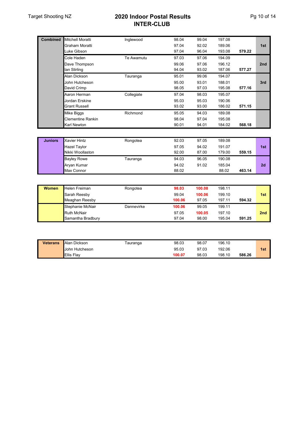### Target Shooting NZ **2020 Indoor Postal Results INTER-CLUB**

| <b>Combined</b> | <b>Mitchell Moratti</b> | Inglewood  | 98.04  | 99.04  | 197.08 |        |     |
|-----------------|-------------------------|------------|--------|--------|--------|--------|-----|
|                 | Graham Moratti          |            | 97.04  | 92.02  | 189.06 |        | 1st |
|                 | Luke Gibson             |            | 97.04  | 96.04  | 193.08 | 579.22 |     |
|                 | Cole Haden              | Te Awamutu | 97.03  | 97.06  | 194.09 |        |     |
|                 | Dave Thompson           |            | 99.06  | 97.06  | 196.12 |        | 2nd |
|                 | lan Stirling            |            | 94.04  | 93.02  | 187.06 | 577.27 |     |
|                 | Alan Dickson            | Tauranga   | 95.01  | 99.06  | 194.07 |        |     |
|                 | John Hutcheson          |            | 95.00  | 93.01  | 188.01 |        | 3rd |
|                 | David Crimp             |            | 98.05  | 97.03  | 195.08 | 577.16 |     |
|                 | Aaron Herman            | Collegiate | 97.04  | 98.03  | 195.07 |        |     |
|                 | Jordan Erskine          |            | 95.03  | 95.03  | 190.06 |        |     |
|                 | <b>Grant Russell</b>    |            | 93.02  | 93.00  | 186.02 | 571.15 |     |
|                 | <b>Mike Biggs</b>       | Richmond   | 95.05  | 94.03  | 189.08 |        |     |
|                 | Clementine Rankin       |            | 98.04  | 97.04  | 195.08 |        |     |
|                 | Karl Newton             |            | 90.01  | 94.01  | 184.02 | 568.18 |     |
|                 |                         |            |        |        |        |        |     |
| <b>Juniors</b>  | <b>Xavier Hintz</b>     | Rongotea   | 92.03  | 97.05  | 189.08 |        |     |
|                 | <b>Hazel Taylor</b>     |            | 97.05  | 94.02  | 191.07 |        | 1st |
|                 | Nikki Woollaston        |            | 92.00  | 87.00  | 179.00 | 559.15 |     |
|                 | <b>Bayley Rowe</b>      | Tauranga   | 94.03  | 96.05  | 190.08 |        |     |
|                 | Aryan Kumar             |            | 94.02  | 91.02  | 185.04 |        | 2d  |
|                 | Max Connor              |            | 88.02  |        | 88.02  | 463.14 |     |
|                 |                         |            |        |        |        |        |     |
| <b>Women</b>    | Helen Freiman           | Rongotea   | 98.03  | 100.08 | 198.11 |        |     |
|                 | Sarah Reesby            |            | 99.04  | 100.06 | 199.10 |        | 1st |
|                 | Meaghan Reesby          |            | 100.06 | 97.05  | 197.11 | 594.32 |     |
|                 | Stephanie McNair        |            |        | 99.05  |        |        |     |
|                 |                         | Dannevirke | 100.06 |        | 199.11 |        |     |

| <b>Veterans</b> | Alan Dickson      | ⊺auranqa | 98.03  | 98.07 | 196.10 |        |     |
|-----------------|-------------------|----------|--------|-------|--------|--------|-----|
|                 | John Hutcheson    |          | 95.03  | 97.03 | 192.06 |        | 1st |
|                 | <b>Ellis Flav</b> |          | 100.07 | 98.03 | 198.10 | 586.26 |     |

Ruth McNair 97.05 **100.05** 197.10 **2nd** Samantha Bradbury 97.04 98.00 195.04 **591.25**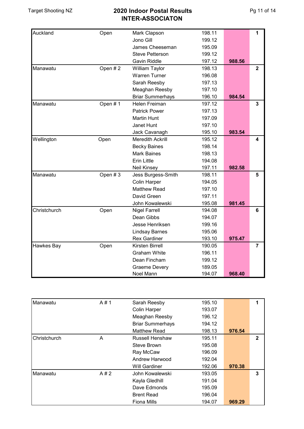| Auckland     | Open    | Mark Clapson            | 198.11 |        | 1              |
|--------------|---------|-------------------------|--------|--------|----------------|
|              |         | Jono Gill               | 199.12 |        |                |
|              |         | James Cheeseman         | 195.09 |        |                |
|              |         | <b>Steve Petterson</b>  | 199.12 |        |                |
|              |         | <b>Gavin Riddle</b>     | 197.12 | 988.56 |                |
| Manawatu     | Open #2 | William Taylor          | 198.13 |        | $\overline{2}$ |
|              |         | <b>Warren Turner</b>    | 196.08 |        |                |
|              |         | Sarah Reesby            | 197.13 |        |                |
|              |         | Meaghan Reesby          | 197.10 |        |                |
|              |         | <b>Briar Summerhays</b> | 196.10 | 984.54 |                |
| Manawatu     | Open #1 | Helen Freiman           | 197.12 |        | 3              |
|              |         | <b>Patrick Power</b>    | 197.13 |        |                |
|              |         | <b>Martin Hunt</b>      | 197.09 |        |                |
|              |         | <b>Janet Hunt</b>       | 197.10 |        |                |
|              |         | Jack Cavanagh           | 195.10 | 983.54 |                |
| Wellington   | Open    | <b>Meredith Ackrill</b> | 195.12 |        | 4              |
|              |         | <b>Becky Baines</b>     | 198.14 |        |                |
|              |         | <b>Mark Baines</b>      | 198.13 |        |                |
|              |         | <b>Erin Little</b>      | 194.08 |        |                |
|              |         | <b>Neil Kinsey</b>      | 197.11 | 982.58 |                |
| Manawatu     | Open #3 | Jess Burgess-Smith      | 198.11 |        | 5              |
|              |         | <b>Colin Harper</b>     | 194.05 |        |                |
|              |         | <b>Matthew Read</b>     | 197.10 |        |                |
|              |         | David Green             | 197.11 |        |                |
|              |         | John Kowalewski         | 195.08 | 981.45 |                |
| Christchurch | Open    | <b>Nigel Farrell</b>    | 194.08 |        | 6              |
|              |         | Dean Gibbs              | 194.07 |        |                |
|              |         | Jesse Henriksen         | 199.16 |        |                |
|              |         | <b>Lindsay Barnes</b>   | 195.06 |        |                |
|              |         | <b>Rex Gardiner</b>     | 193.10 | 975.47 |                |
| Hawkes Bay   | Open    | <b>Kirsten Birrell</b>  | 190.05 |        | $\overline{7}$ |
|              |         | <b>Graham White</b>     | 196.11 |        |                |
|              |         | Dean Fincham            | 199.12 |        |                |
|              |         | <b>Graeme Devery</b>    | 189.05 |        |                |
|              |         | Noel Mann               | 194.07 | 968.40 |                |

| Manawatu     | $A \# 1$ | Sarah Reesby            | 195.10 |        | 1            |
|--------------|----------|-------------------------|--------|--------|--------------|
|              |          | <b>Colin Harper</b>     | 193.07 |        |              |
|              |          | Meaghan Reesby          | 196.12 |        |              |
|              |          | <b>Briar Summerhays</b> | 194.12 |        |              |
|              |          | <b>Matthew Read</b>     | 198.13 | 976.54 |              |
| Christchurch | A        | Russell Henshaw         | 195.11 |        | $\mathbf{2}$ |
|              |          | Steve Brown             | 195.08 |        |              |
|              |          | Ray McCaw               | 196.09 |        |              |
|              |          | Andrew Harwood          | 192.04 |        |              |
|              |          | <b>Will Gardiner</b>    | 192.06 | 970.38 |              |
| Manawatu     | A#2      | John Kowalewski         | 193.05 |        | 3            |
|              |          | Kayla Gledhill          | 191.04 |        |              |
|              |          | Dave Edmonds            | 195.09 |        |              |
|              |          | <b>Brent Read</b>       | 196.04 |        |              |
|              |          | <b>Fiona Mills</b>      | 194.07 | 969.29 |              |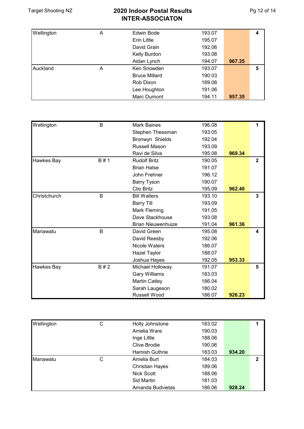| Wellington | A | Edwin Bode           | 193.07 |        | 4 |
|------------|---|----------------------|--------|--------|---|
|            |   | <b>Erin Little</b>   | 195.07 |        |   |
|            |   | David Grain          | 192.06 |        |   |
|            |   | Kelly Burdon         | 193.08 |        |   |
|            |   | Aidan Lynch          | 194.07 | 967.35 |   |
| Auckland   | Α | Ken Snowden          | 193.07 |        | 5 |
|            |   | <b>Bruce Millard</b> | 190.03 |        |   |
|            |   | Rob Dixon            | 189.08 |        |   |
|            |   | Lee Houghton         | 191.06 |        |   |
|            |   | Marc Dumont          | 194.11 | 957.35 |   |

| Wellington   | B   | <b>Mark Baines</b>        | 196.08 |        | 1            |
|--------------|-----|---------------------------|--------|--------|--------------|
|              |     | Stephen Thessman          | 193.05 |        |              |
|              |     | Bronwyn Shields           | 192.04 |        |              |
|              |     | Russell Mason             | 193.09 |        |              |
|              |     | Ravi de Silva             | 195.08 | 969.34 |              |
| Hawkes Bay   | B#1 | <b>Rudolf Britz</b>       | 190.05 |        | $\mathbf{2}$ |
|              |     | <b>Brian Halse</b>        | 191.07 |        |              |
|              |     | John Frehner              | 196.12 |        |              |
|              |     | <b>Barry Tyson</b>        | 190.07 |        |              |
|              |     | Clio Britz                | 195.09 | 962.40 |              |
| Christchurch | B   | <b>Bill Walters</b>       | 193.10 |        | 3            |
|              |     | <b>Barry Till</b>         | 193.09 |        |              |
|              |     | Mark Fleming              | 191.05 |        |              |
|              |     | Dave Stackhouse           | 193.08 |        |              |
|              |     | <b>Brian Nieuwenhuize</b> | 191.04 | 961.36 |              |
| Manawatu     | B   | David Green               | 195.08 |        | 4            |
|              |     | David Reesby              | 192.06 |        |              |
|              |     | <b>Nicole Waters</b>      | 186.07 |        |              |
|              |     | <b>Hazel Taylor</b>       | 188.07 |        |              |
|              |     | Joshua Hayes              | 192.05 | 953.33 |              |
| Hawkes Bay   | B#2 | Michael Holloway          | 191.07 |        | 5            |
|              |     | <b>Gary Williams</b>      | 183.03 |        |              |
|              |     | <b>Martin Catley</b>      | 186.04 |        |              |
|              |     | Sarah Laugeson            | 180.02 |        |              |
|              |     | Russell Wood              | 186.07 | 926.23 |              |

| Wellington | С | Holly Johnstone        | 183.02 |        |   |
|------------|---|------------------------|--------|--------|---|
|            |   | Amelia Ware            | 190.03 |        |   |
|            |   | Inge Little            | 188.06 |        |   |
|            |   | Clive Brodie           | 190.06 |        |   |
|            |   | Hamish Guthrie         | 183.03 | 934.20 |   |
| Manawatu   | С | Amelia Burt            | 184.03 |        | 2 |
|            |   | <b>Christian Hayes</b> | 189.06 |        |   |
|            |   | <b>Nick Scott</b>      | 188.06 |        |   |
|            |   | Sid Martin             | 181.03 |        |   |
|            |   | Amanda Budvietas       | 186.06 | 928.24 |   |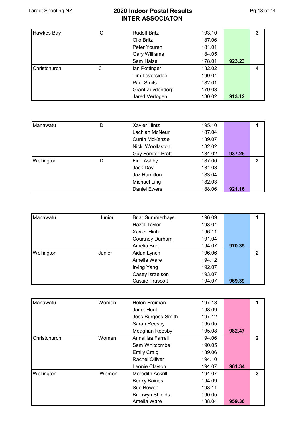| <b>Hawkes Bay</b> | С | <b>Rudolf Britz</b>     | 193.10 |        | 3 |
|-------------------|---|-------------------------|--------|--------|---|
|                   |   | Clio Britz              | 187.06 |        |   |
|                   |   | Peter Youren            | 181.01 |        |   |
|                   |   | Gary Williams           | 184.05 |        |   |
|                   |   | Sam Halse               | 178.01 | 923.23 |   |
| Christchurch      | С | lan Pottinger           | 182.02 |        | 4 |
|                   |   | Tim Loversidge          | 190.04 |        |   |
|                   |   | Paul Smits              | 182.01 |        |   |
|                   |   | <b>Grant Zuydendorp</b> | 179.03 |        |   |
|                   |   | Jared Vertogen          | 180.02 | 913.12 |   |

| Manawatu   | D | Xavier Hintz        | 195.10 |        |             |
|------------|---|---------------------|--------|--------|-------------|
|            |   | Lachlan McNeur      | 187.04 |        |             |
|            |   | Curtin McKenzie     | 189.07 |        |             |
|            |   | Nicki Woollaston    | 182.02 |        |             |
|            |   | Guy Forster-Pratt   | 184.02 | 937.25 |             |
| Wellington | D | Finn Ashby          | 187.00 |        | $\mathbf 2$ |
|            |   | Jack Day            | 181.03 |        |             |
|            |   | Jaz Hamilton        | 183.04 |        |             |
|            |   | Michael Ling        | 182.03 |        |             |
|            |   | <b>Daniel Ewers</b> | 188.06 | 921.16 |             |

| Manawatu   | Junior | <b>Briar Summerhays</b> | 196.09 |        |   |
|------------|--------|-------------------------|--------|--------|---|
|            |        | <b>Hazel Taylor</b>     | 193.04 |        |   |
|            |        | <b>Xavier Hintz</b>     | 196.11 |        |   |
|            |        | <b>Courtney Durham</b>  | 191.04 |        |   |
|            |        | Amelia Burt             | 194.07 | 970.35 |   |
| Wellington | Junior | Aidan Lynch             | 196.06 |        | 2 |
|            |        | Amelia Ware             | 194.12 |        |   |
|            |        | Irving Yang             | 192.07 |        |   |
|            |        | Casey Israelson         | 193.07 |        |   |
|            |        | Cassie Truscott         | 194.07 | 969.39 |   |

| Manawatu     | Women | <b>Helen Freiman</b>    | 197.13 |        |              |
|--------------|-------|-------------------------|--------|--------|--------------|
|              |       | Janet Hunt              | 198.09 |        |              |
|              |       | Jess Burgess-Smith      | 197.12 |        |              |
|              |       | Sarah Reesby            | 195.05 |        |              |
|              |       | Meaghan Reesby          | 195.08 | 982.47 |              |
| Christchurch | Women | Annaliisa Farrell       | 194.06 |        | $\mathbf{2}$ |
|              |       | Sam Whitcombe           | 190.05 |        |              |
|              |       | <b>Emily Craig</b>      | 189.06 |        |              |
|              |       | <b>Rachel Olliver</b>   | 194.10 |        |              |
|              |       | Leonie Clayton          | 194.07 | 961.34 |              |
| Wellington   | Women | <b>Meredith Ackrill</b> | 194.07 |        | 3            |
|              |       | <b>Becky Baines</b>     | 194.09 |        |              |
|              |       | Sue Bowen               | 193.11 |        |              |
|              |       | <b>Bronwyn Shields</b>  | 190.05 |        |              |
|              |       | Amelia Ware             | 188.04 | 959.36 |              |